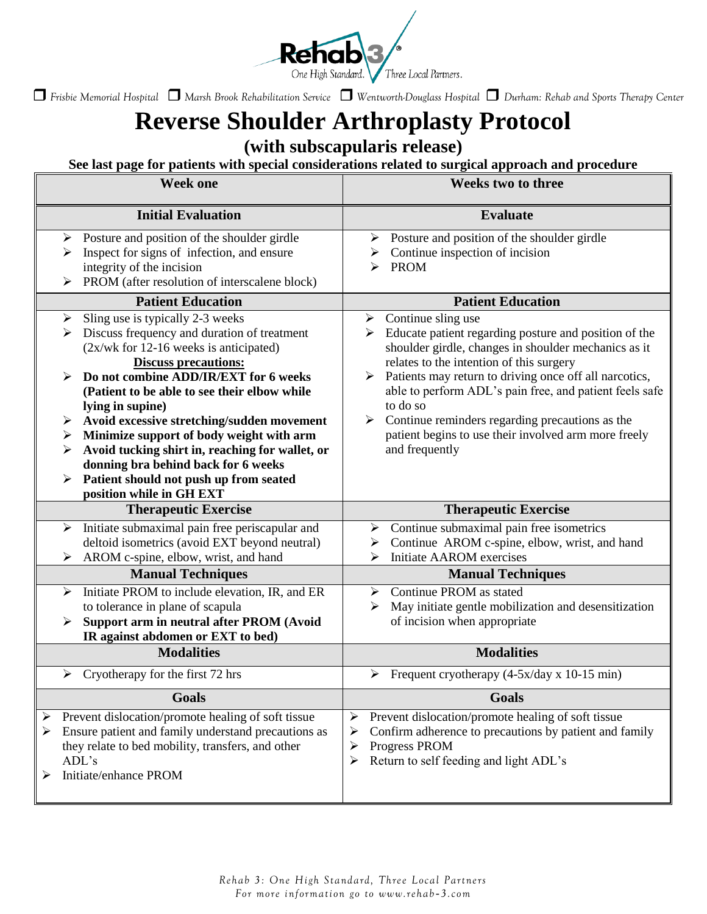

# **Reverse Shoulder Arthroplasty Protocol**

**(with subscapularis release)**

**See last page for patients with special considerations related to surgical approach and procedure**

| <b>Week one</b>                                                                                                                                                                                                                                                                                                                                                                                                                                                                                                                                             | Weeks two to three                                                                                                                                                                                                                                                                                                                                                                                                                                             |
|-------------------------------------------------------------------------------------------------------------------------------------------------------------------------------------------------------------------------------------------------------------------------------------------------------------------------------------------------------------------------------------------------------------------------------------------------------------------------------------------------------------------------------------------------------------|----------------------------------------------------------------------------------------------------------------------------------------------------------------------------------------------------------------------------------------------------------------------------------------------------------------------------------------------------------------------------------------------------------------------------------------------------------------|
| <b>Initial Evaluation</b>                                                                                                                                                                                                                                                                                                                                                                                                                                                                                                                                   | <b>Evaluate</b>                                                                                                                                                                                                                                                                                                                                                                                                                                                |
| Posture and position of the shoulder girdle<br>➤<br>Inspect for signs of infection, and ensure<br>➤<br>integrity of the incision<br>PROM (after resolution of interscalene block)                                                                                                                                                                                                                                                                                                                                                                           | Posture and position of the shoulder girdle<br>≻<br>Continue inspection of incision<br>➤<br><b>PROM</b><br>⊳                                                                                                                                                                                                                                                                                                                                                   |
| <b>Patient Education</b>                                                                                                                                                                                                                                                                                                                                                                                                                                                                                                                                    | <b>Patient Education</b>                                                                                                                                                                                                                                                                                                                                                                                                                                       |
| Sling use is typically 2-3 weeks<br>➤<br>Discuss frequency and duration of treatment<br>➤<br>$(2x/wk)$ for 12-16 weeks is anticipated)<br><b>Discuss precautions:</b><br>Do not combine ADD/IR/EXT for 6 weeks<br>⋗<br>(Patient to be able to see their elbow while<br>lying in supine)<br>Avoid excessive stretching/sudden movement<br>➤<br>Minimize support of body weight with arm<br>➤<br>Avoid tucking shirt in, reaching for wallet, or<br>donning bra behind back for 6 weeks<br>Patient should not push up from seated<br>position while in GH EXT | Continue sling use<br>➤<br>Educate patient regarding posture and position of the<br>➤<br>shoulder girdle, changes in shoulder mechanics as it<br>relates to the intention of this surgery<br>> Patients may return to driving once off all narcotics,<br>able to perform ADL's pain free, and patient feels safe<br>to do so<br>Continue reminders regarding precautions as the<br>➤<br>patient begins to use their involved arm more freely<br>and frequently |
| <b>Therapeutic Exercise</b>                                                                                                                                                                                                                                                                                                                                                                                                                                                                                                                                 | <b>Therapeutic Exercise</b>                                                                                                                                                                                                                                                                                                                                                                                                                                    |
| Initiate submaximal pain free periscapular and<br>➤<br>deltoid isometrics (avoid EXT beyond neutral)<br>AROM c-spine, elbow, wrist, and hand<br>≻                                                                                                                                                                                                                                                                                                                                                                                                           | Continue submaximal pain free isometrics<br>≻<br>Continue AROM c-spine, elbow, wrist, and hand<br>➤<br><b>Initiate AAROM</b> exercises<br>↘                                                                                                                                                                                                                                                                                                                    |
| <b>Manual Techniques</b>                                                                                                                                                                                                                                                                                                                                                                                                                                                                                                                                    | <b>Manual Techniques</b>                                                                                                                                                                                                                                                                                                                                                                                                                                       |
| Initiate PROM to include elevation, IR, and ER<br>➤<br>to tolerance in plane of scapula<br>Support arm in neutral after PROM (Avoid<br>➤<br>IR against abdomen or EXT to bed)                                                                                                                                                                                                                                                                                                                                                                               | Continue PROM as stated<br>≻<br>May initiate gentle mobilization and desensitization<br>➤<br>of incision when appropriate                                                                                                                                                                                                                                                                                                                                      |
| <b>Modalities</b>                                                                                                                                                                                                                                                                                                                                                                                                                                                                                                                                           | <b>Modalities</b>                                                                                                                                                                                                                                                                                                                                                                                                                                              |
| Cryotherapy for the first 72 hrs<br>➤                                                                                                                                                                                                                                                                                                                                                                                                                                                                                                                       | Frequent cryotherapy (4-5x/day x 10-15 min)<br>➤                                                                                                                                                                                                                                                                                                                                                                                                               |
| <b>Goals</b>                                                                                                                                                                                                                                                                                                                                                                                                                                                                                                                                                | <b>Goals</b>                                                                                                                                                                                                                                                                                                                                                                                                                                                   |
| Prevent dislocation/promote healing of soft tissue<br>➤<br>Ensure patient and family understand precautions as<br>they relate to bed mobility, transfers, and other<br>ADL's<br>Initiate/enhance PROM                                                                                                                                                                                                                                                                                                                                                       | Prevent dislocation/promote healing of soft tissue<br>➤<br>Confirm adherence to precautions by patient and family<br>➤<br>Progress PROM<br>➤<br>Return to self feeding and light ADL's<br>≻                                                                                                                                                                                                                                                                    |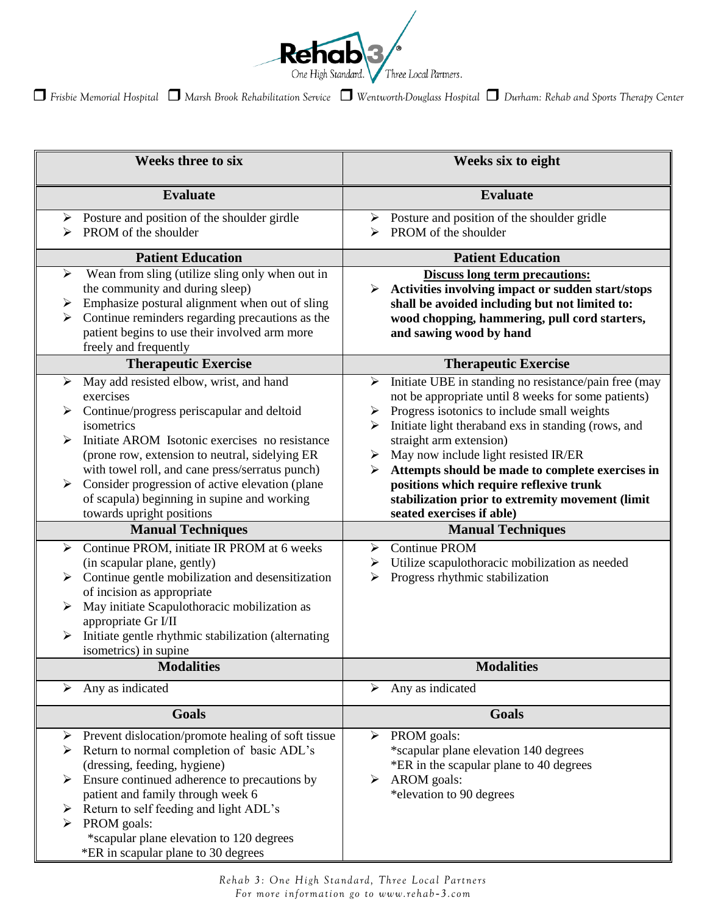

| <b>Weeks three to six</b>                                                                                                                                                                                                                                                                                                                                                                                                                                                                                                                                                                                                                                                                                                                                                         | <b>Weeks six to eight</b>                                                                                                                                                                                                                                                                                                                                                                                                                                                                                                                                                                                                             |
|-----------------------------------------------------------------------------------------------------------------------------------------------------------------------------------------------------------------------------------------------------------------------------------------------------------------------------------------------------------------------------------------------------------------------------------------------------------------------------------------------------------------------------------------------------------------------------------------------------------------------------------------------------------------------------------------------------------------------------------------------------------------------------------|---------------------------------------------------------------------------------------------------------------------------------------------------------------------------------------------------------------------------------------------------------------------------------------------------------------------------------------------------------------------------------------------------------------------------------------------------------------------------------------------------------------------------------------------------------------------------------------------------------------------------------------|
| <b>Evaluate</b>                                                                                                                                                                                                                                                                                                                                                                                                                                                                                                                                                                                                                                                                                                                                                                   | <b>Evaluate</b>                                                                                                                                                                                                                                                                                                                                                                                                                                                                                                                                                                                                                       |
| $\triangleright$ Posture and position of the shoulder girdle<br>PROM of the shoulder                                                                                                                                                                                                                                                                                                                                                                                                                                                                                                                                                                                                                                                                                              | $\triangleright$ Posture and position of the shoulder gridle<br>PROM of the shoulder                                                                                                                                                                                                                                                                                                                                                                                                                                                                                                                                                  |
| <b>Patient Education</b>                                                                                                                                                                                                                                                                                                                                                                                                                                                                                                                                                                                                                                                                                                                                                          | <b>Patient Education</b>                                                                                                                                                                                                                                                                                                                                                                                                                                                                                                                                                                                                              |
| Wean from sling (utilize sling only when out in<br>➤<br>the community and during sleep)<br>Emphasize postural alignment when out of sling<br>➤<br>Continue reminders regarding precautions as the<br>⋗<br>patient begins to use their involved arm more<br>freely and frequently                                                                                                                                                                                                                                                                                                                                                                                                                                                                                                  | <b>Discuss long term precautions:</b><br>Activities involving impact or sudden start/stops<br>➤<br>shall be avoided including but not limited to:<br>wood chopping, hammering, pull cord starters,<br>and sawing wood by hand                                                                                                                                                                                                                                                                                                                                                                                                         |
| <b>Therapeutic Exercise</b>                                                                                                                                                                                                                                                                                                                                                                                                                                                                                                                                                                                                                                                                                                                                                       | <b>Therapeutic Exercise</b>                                                                                                                                                                                                                                                                                                                                                                                                                                                                                                                                                                                                           |
| May add resisted elbow, wrist, and hand<br>➤<br>exercises<br>Continue/progress periscapular and deltoid<br>isometrics<br>Initiate AROM Isotonic exercises no resistance<br>⋗<br>(prone row, extension to neutral, sidelying ER<br>with towel roll, and cane press/serratus punch)<br>Consider progression of active elevation (plane<br>➤<br>of scapula) beginning in supine and working<br>towards upright positions<br><b>Manual Techniques</b><br>Continue PROM, initiate IR PROM at 6 weeks<br>↘<br>(in scapular plane, gently)<br>Continue gentle mobilization and desensitization<br>of incision as appropriate<br>May initiate Scapulothoracic mobilization as<br>⋗<br>appropriate Gr I/II<br>Initiate gentle rhythmic stabilization (alternating<br>isometrics) in supine | Initiate UBE in standing no resistance/pain free (may<br>➤<br>not be appropriate until 8 weeks for some patients)<br>Progress isotonics to include small weights<br>Initiate light theraband exs in standing (rows, and<br>straight arm extension)<br>May now include light resisted IR/ER<br>➤<br>Attempts should be made to complete exercises in<br>➤<br>positions which require reflexive trunk<br>stabilization prior to extremity movement (limit<br>seated exercises if able)<br><b>Manual Techniques</b><br>Continue PROM<br>➤<br>Utilize scapulothoracic mobilization as needed<br>➤<br>Progress rhythmic stabilization<br>➤ |
| <b>Modalities</b>                                                                                                                                                                                                                                                                                                                                                                                                                                                                                                                                                                                                                                                                                                                                                                 | <b>Modalities</b>                                                                                                                                                                                                                                                                                                                                                                                                                                                                                                                                                                                                                     |
| Any as indicated<br>≻                                                                                                                                                                                                                                                                                                                                                                                                                                                                                                                                                                                                                                                                                                                                                             | Any as indicated<br>➤                                                                                                                                                                                                                                                                                                                                                                                                                                                                                                                                                                                                                 |
| <b>Goals</b>                                                                                                                                                                                                                                                                                                                                                                                                                                                                                                                                                                                                                                                                                                                                                                      | <b>Goals</b>                                                                                                                                                                                                                                                                                                                                                                                                                                                                                                                                                                                                                          |
| Prevent dislocation/promote healing of soft tissue<br>➤<br>Return to normal completion of basic ADL's<br>(dressing, feeding, hygiene)<br>Ensure continued adherence to precautions by<br>➤<br>patient and family through week 6<br>Return to self feeding and light ADL's<br>➤<br>PROM goals:<br>*scapular plane elevation to 120 degrees<br>*ER in scapular plane to 30 degrees                                                                                                                                                                                                                                                                                                                                                                                                  | PROM goals:<br>$\blacktriangleright$<br>*scapular plane elevation 140 degrees<br>*ER in the scapular plane to 40 degrees<br>AROM goals:<br>➤<br>*elevation to 90 degrees                                                                                                                                                                                                                                                                                                                                                                                                                                                              |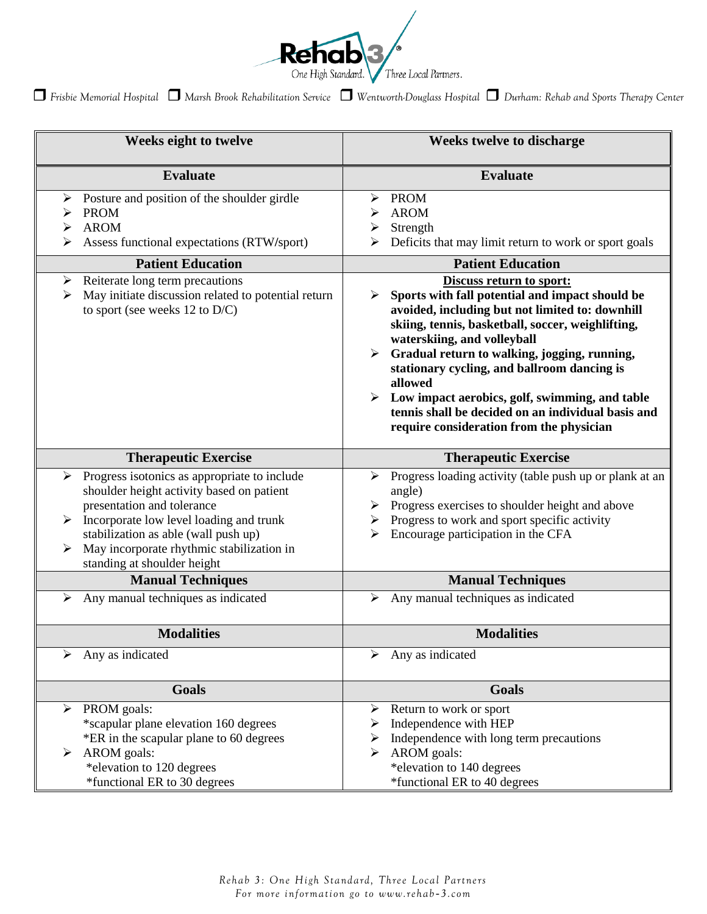

| Weeks eight to twelve                                                                                                                                                                                                                                                                            | <b>Weeks twelve to discharge</b>                                                                                                                                                                                                                                                                                                                                                                                                                                                      |
|--------------------------------------------------------------------------------------------------------------------------------------------------------------------------------------------------------------------------------------------------------------------------------------------------|---------------------------------------------------------------------------------------------------------------------------------------------------------------------------------------------------------------------------------------------------------------------------------------------------------------------------------------------------------------------------------------------------------------------------------------------------------------------------------------|
| <b>Evaluate</b>                                                                                                                                                                                                                                                                                  | <b>Evaluate</b>                                                                                                                                                                                                                                                                                                                                                                                                                                                                       |
| Posture and position of the shoulder girdle<br><b>PROM</b><br>➤<br><b>AROM</b><br>➤<br>Assess functional expectations (RTW/sport)                                                                                                                                                                | <b>PROM</b><br>➤<br><b>AROM</b><br>Strength<br>➤<br>Deficits that may limit return to work or sport goals                                                                                                                                                                                                                                                                                                                                                                             |
| <b>Patient Education</b>                                                                                                                                                                                                                                                                         | <b>Patient Education</b>                                                                                                                                                                                                                                                                                                                                                                                                                                                              |
| Reiterate long term precautions<br>➤<br>May initiate discussion related to potential return<br>➤<br>to sport (see weeks $12$ to $D/C$ )                                                                                                                                                          | Discuss return to sport:<br>Sports with fall potential and impact should be<br>avoided, including but not limited to: downhill<br>skiing, tennis, basketball, soccer, weighlifting,<br>waterskiing, and volleyball<br>Gradual return to walking, jogging, running,<br>stationary cycling, and ballroom dancing is<br>allowed<br>Low impact aerobics, golf, swimming, and table<br>➤<br>tennis shall be decided on an individual basis and<br>require consideration from the physician |
| <b>Therapeutic Exercise</b>                                                                                                                                                                                                                                                                      | <b>Therapeutic Exercise</b>                                                                                                                                                                                                                                                                                                                                                                                                                                                           |
| Progress isotonics as appropriate to include<br>➤<br>shoulder height activity based on patient<br>presentation and tolerance<br>Incorporate low level loading and trunk<br>➤<br>stabilization as able (wall push up)<br>May incorporate rhythmic stabilization in<br>standing at shoulder height | Progress loading activity (table push up or plank at an<br>➤<br>angle)<br>Progress exercises to shoulder height and above<br>Progress to work and sport specific activity<br>Encourage participation in the CFA                                                                                                                                                                                                                                                                       |
| <b>Manual Techniques</b>                                                                                                                                                                                                                                                                         | <b>Manual Techniques</b>                                                                                                                                                                                                                                                                                                                                                                                                                                                              |
| Any manual techniques as indicated<br>➤                                                                                                                                                                                                                                                          | Any manual techniques as indicated<br>➤                                                                                                                                                                                                                                                                                                                                                                                                                                               |
| <b>Modalities</b>                                                                                                                                                                                                                                                                                | <b>Modalities</b>                                                                                                                                                                                                                                                                                                                                                                                                                                                                     |
| Any as indicated<br>➤                                                                                                                                                                                                                                                                            | Any as indicated<br>➤                                                                                                                                                                                                                                                                                                                                                                                                                                                                 |
| <b>Goals</b>                                                                                                                                                                                                                                                                                     | <b>Goals</b>                                                                                                                                                                                                                                                                                                                                                                                                                                                                          |
| PROM goals:<br>⋗<br>*scapular plane elevation 160 degrees<br>*ER in the scapular plane to 60 degrees<br>AROM goals:<br>➤<br>*elevation to 120 degrees<br>*functional ER to 30 degrees                                                                                                            | Return to work or sport<br>➤<br>Independence with HEP<br>Independence with long term precautions<br>➤<br>AROM goals:<br>➤<br>*elevation to 140 degrees<br>*functional ER to 40 degrees                                                                                                                                                                                                                                                                                                |